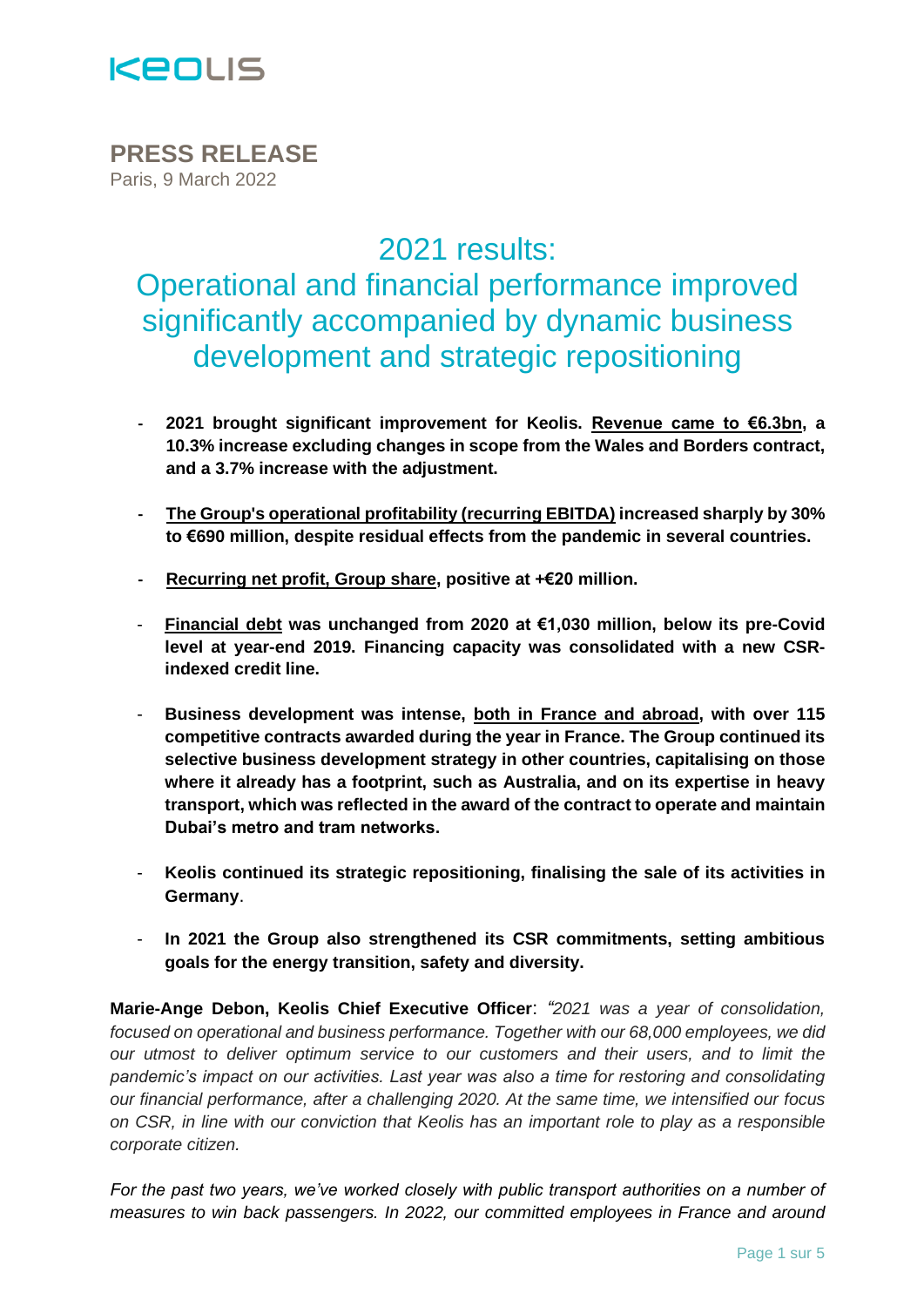

**PRESS RELEASE** Paris, 9 March 2022

2021 results:

Operational and financial performance improved significantly accompanied by dynamic business development and strategic repositioning

- **- 2021 brought significant improvement for Keolis. Revenue came to €6.3bn, a 10.3% increase excluding changes in scope from the Wales and Borders contract, and a 3.7% increase with the adjustment.**
- **- The Group's operational profitability (recurring EBITDA) increased sharply by 30% to €690 million, despite residual effects from the pandemic in several countries.**
- **- Recurring net profit, Group share, positive at +€20 million.**
- **Financial debt was unchanged from 2020 at €1,030 million, below its pre-Covid level at year-end 2019. Financing capacity was consolidated with a new CSRindexed credit line.**
- **Business development was intense, both in France and abroad, with over 115 competitive contracts awarded during the year in France. The Group continued its selective business development strategy in other countries, capitalising on those where it already has a footprint, such as Australia, and on its expertise in heavy transport, which was reflected in the award of the contract to operate and maintain Dubai's metro and tram networks.**
- **Keolis continued its strategic repositioning, finalising the sale of its activities in [Germany](https://www.keolis.com/newsroom/communiques-de-presse/keolis-cede-ses-activites-en-allemagne)**.
- **In 2021 the Group also strengthened its CSR commitments, setting ambitious goals for the energy transition, safety and diversity.**

**Marie-Ange Debon, Keolis Chief Executive Officer**: *"2021 was a year of consolidation, focused on operational and business performance. Together with our 68,000 employees, we did our utmost to deliver optimum service to our customers and their users, and to limit the pandemic's impact on our activities. Last year was also a time for restoring and consolidating our financial performance, after a challenging 2020. At the same time, we intensified our focus on CSR, in line with our conviction that Keolis has an important role to play as a responsible corporate citizen.* 

*For the past two years, we've worked closely with public transport authorities on a number of measures to win back passengers. In 2022, our committed employees in France and around*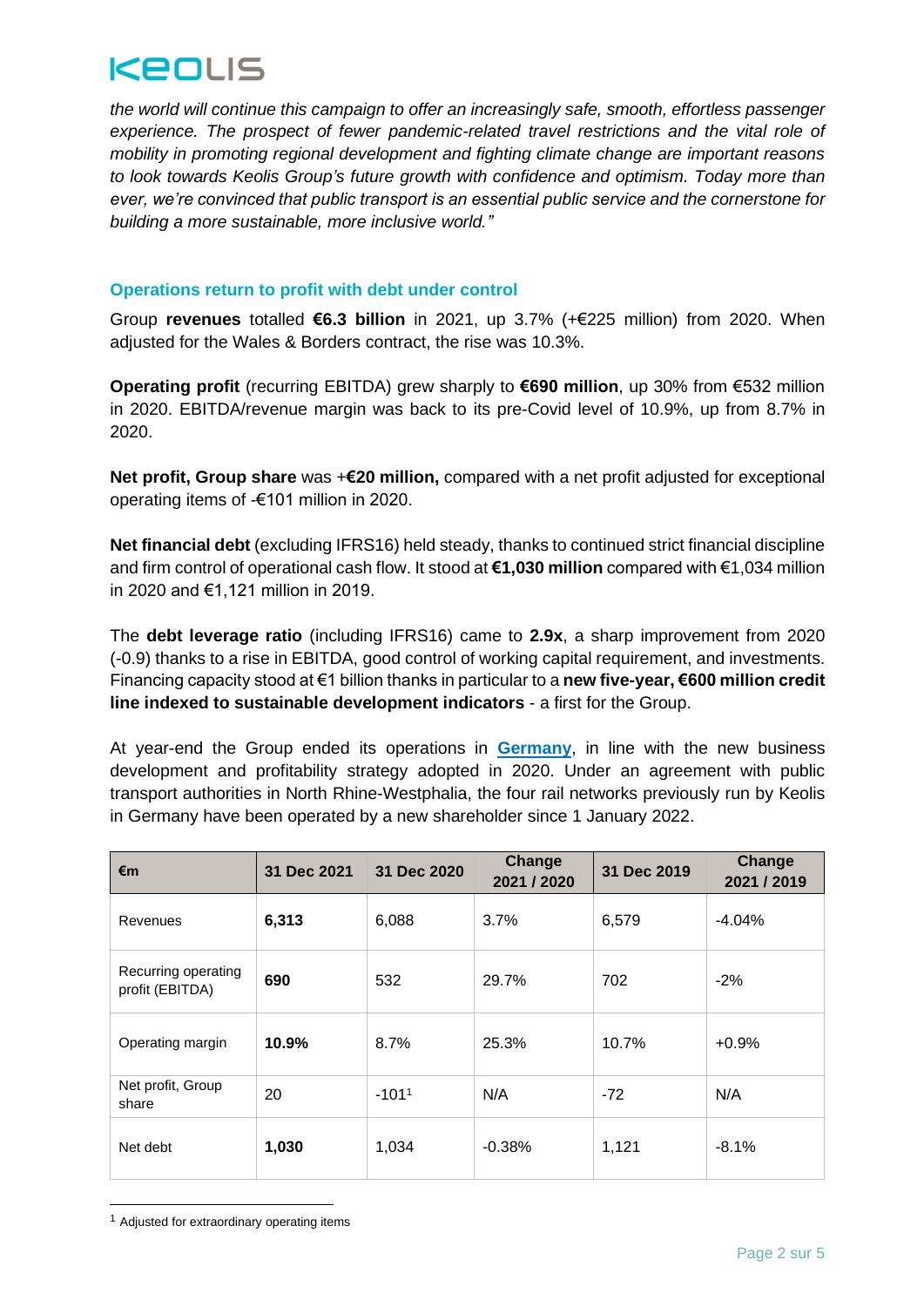

*the world will continue this campaign to offer an increasingly safe, smooth, effortless passenger experience. The prospect of fewer pandemic-related travel restrictions and the vital role of mobility in promoting regional development and fighting climate change are important reasons to look towards Keolis Group's future growth with confidence and optimism. Today more than ever, we're convinced that public transport is an essential public service and the cornerstone for building a more sustainable, more inclusive world."*

## **Operations return to profit with debt under control**

Group **revenues** totalled **€6.3 billion** in 2021, up 3.7% (+€225 million) from 2020. When adjusted for the Wales & Borders contract, the rise was 10.3%.

**Operating profit** (recurring EBITDA) grew sharply to **€690 million**, up 30% from €532 million in 2020. EBITDA/revenue margin was back to its pre-Covid level of 10.9%, up from 8.7% in 2020.

**Net profit, Group share** was +**€20 million,** compared with a net profit adjusted for exceptional operating items of -€101 million in 2020.

**Net financial debt** (excluding IFRS16) held steady, thanks to continued strict financial discipline and firm control of operational cash flow. It stood at **€1,030 million** compared with €1,034 million in 2020 and €1,121 million in 2019.

The **debt leverage ratio** (including IFRS16) came to **2.9x**, a sharp improvement from 2020 (-0.9) thanks to a rise in EBITDA, good control of working capital requirement, and investments. Financing capacity stood at €1 billion thanks in particular to a **new five-year, €600 million credit line indexed to sustainable development indicators** - a first for the Group.

At year-end the Group ended its operations in **[Germany](https://www.keolis.com/en/newsroom-en/press-releases/keolis-sells-its-activities-in-germany)**, in line with the new business development and profitability strategy adopted in 2020. Under an agreement with public transport authorities in North Rhine-Westphalia, the four rail networks previously run by Keolis in Germany have been operated by a new shareholder since 1 January 2022.

| €m                                     | 31 Dec 2021 | 31 Dec 2020 | Change<br>2021 / 2020 | 31 Dec 2019 | Change<br>2021 / 2019 |
|----------------------------------------|-------------|-------------|-----------------------|-------------|-----------------------|
| Revenues                               | 6,313       | 6,088       | 3.7%                  | 6,579       | $-4.04%$              |
| Recurring operating<br>profit (EBITDA) | 690         | 532         | 29.7%                 | 702         | $-2%$                 |
| Operating margin                       | 10.9%       | 8.7%        | 25.3%                 | 10.7%       | $+0.9%$               |
| Net profit, Group<br>share             | 20          | $-1011$     | N/A                   | $-72$       | N/A                   |
| Net debt                               | 1,030       | 1,034       | $-0.38%$              | 1,121       | $-8.1%$               |

<sup>&</sup>lt;sup>1</sup> Adjusted for extraordinary operating items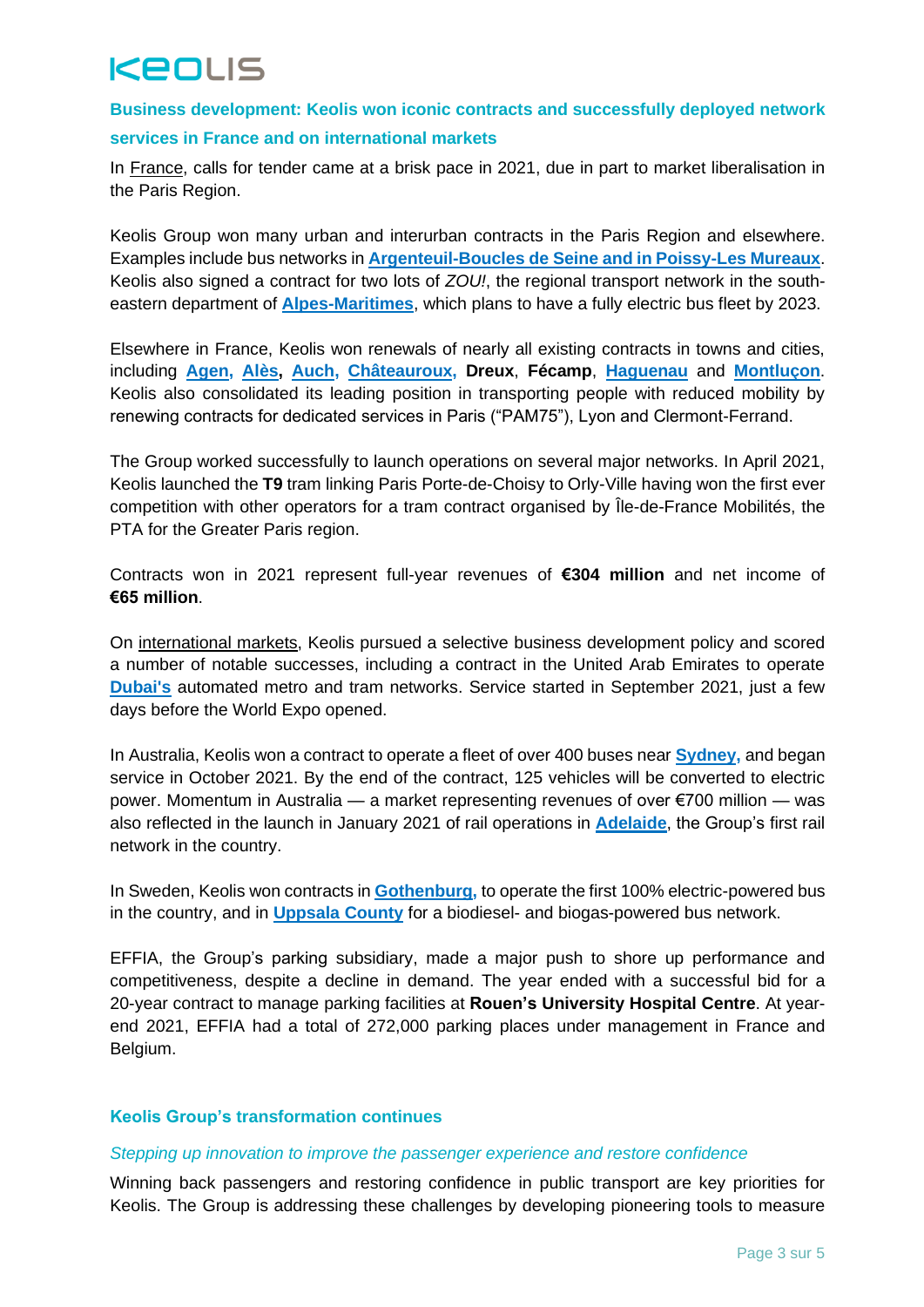# KEOLIS

## **Business development: Keolis won iconic contracts and successfully deployed network**

### **services in France and on international markets**

In France, calls for tender came at a brisk pace in 2021, due in part to market liberalisation in the Paris Region.

Keolis Group won many urban and interurban contracts in the Paris Region and elsewhere. Examples include bus networks in **[Argenteuil-Boucles de Seine and in Poissy-Les Mureaux](https://www.keolis.com/en/newsroom-en/press-releases/keolis-wins-two-contracts-to-operate-bus-networks-in-the-paris-ile-de-france-regi)**. Keolis also signed a contract for two lots of *ZOU!*, the regional transport network in the southeastern department of **[Alpes-Maritimes](https://www.keolis.com/en/newsroom-en/press-releases/france-keolis-wins-two-major-contracts-for-the-suburban-transport-network-in-the)**, which plans to have a fully electric bus fleet by 2023.

Elsewhere in France, Keolis won renewals of nearly all existing contracts in towns and cities, including **[Agen,](https://www.keolis.com/en/newsroom-en/press-releases/france-keolis-renewed-for-the-operations-of-the-mobility-in-the-agen-conurbation) [Alès,](https://www.keolis.com/en/newsroom-en/press-releases/keolis-obtains-the-renewal-of-the-public-transport-contract-in-ales-france) [Auch,](https://www.keolis.com/en/newsroom-en/press-releases/keolis-strengthens-its-mid-sized-city-footprint-with-the-public-transport-contrac) [Châteauroux,](https://www.keolis.com/en/newsroom-en/press-releases/france-keolis-renewed-to-operate-chateauroux-s-public-transport-network) Dreux**, **Fécamp**, **[Haguenau](https://www.keolis.com/en/newsroom-en/press-releases/france-keolis-renewed-to-operate-and-extend-public-transport-services-in-haguenau)** and **[Montluçon](https://www.keolis.com/en/newsroom-en/press-releases/keolis-wins-the-renewal-of-the-montlucon-contract-with-the-aim-of-strengthening-t)**. Keolis also consolidated its leading position in transporting people with reduced mobility by renewing contracts for dedicated services in Paris ("PAM75"), Lyon and Clermont-Ferrand.

The Group worked successfully to launch operations on several major networks. In April 2021, Keolis launched the **T9** tram linking Paris Porte-de-Choisy to Orly-Ville having won the first ever competition with other operators for a tram contract organised by Île-de-France Mobilités, the PTA for the Greater Paris region.

Contracts won in 2021 represent full-year revenues of **€304 million** and net income of **€65 million**.

On international markets, Keolis pursued a selective business development policy and scored a number of notable successes, including a contract in the United Arab Emirates to operate **[Dubai's](https://www.keolis.com/en/newsroom-en/press-releases/uae-keolis-begins-operations-of-its-new-contract-for-dubai-metro-and-tram-network)** automated metro and tram networks. Service started in September 2021, just a few days before the World Expo opened.

In Australia, Keolis won a contract to operate a fleet of over 400 buses near **[Sydney,](https://www.keolis.com/en/newsroom-en/press-releases/australia-keolis-began-operating-a-network-of-over-400-buses-in-greater-sydney)** and began service in October 2021. By the end of the contract, 125 vehicles will be converted to electric power. Momentum in Australia — a market representing revenues of over €700 million — was also reflected in the launch in January 2021 of rail operations in **[Adelaide](https://www.keolis.com/en/newsroom-en/press-releases/keolis-begins-operations-and-maintenance-of-adelaide-commuter-rail-in-south-austr)**, the Group's first rail network in the country.

In Sweden, Keolis won contracts in **[Gothenburg,](https://www.keolis.com/en/newsroom-en/press-releases/keolis-wins-its-first-100-electric-bus-contract-in-sweden)** to operate the first 100% electric-powered bus in the country, and in **[Uppsala County](https://www.keolis.com/en/newsroom-en/press-releases/keolis-remporte-un-nouveau-contrat-de-bus-a-energies-alternatives-en-suede-dans-l)** for a biodiesel- and biogas-powered bus network.

EFFIA, the Group's parking subsidiary, made a major push to shore up performance and competitiveness, despite a decline in demand. The year ended with a successful bid for a 20-year contract to manage parking facilities at **Rouen's University Hospital Centre**. At yearend 2021, EFFIA had a total of 272,000 parking places under management in France and Belgium.

### **Keolis Group's transformation continues**

#### *Stepping up innovation to improve the passenger experience and restore confidence*

Winning back passengers and restoring confidence in public transport are key priorities for Keolis. The Group is addressing these challenges by developing pioneering tools to measure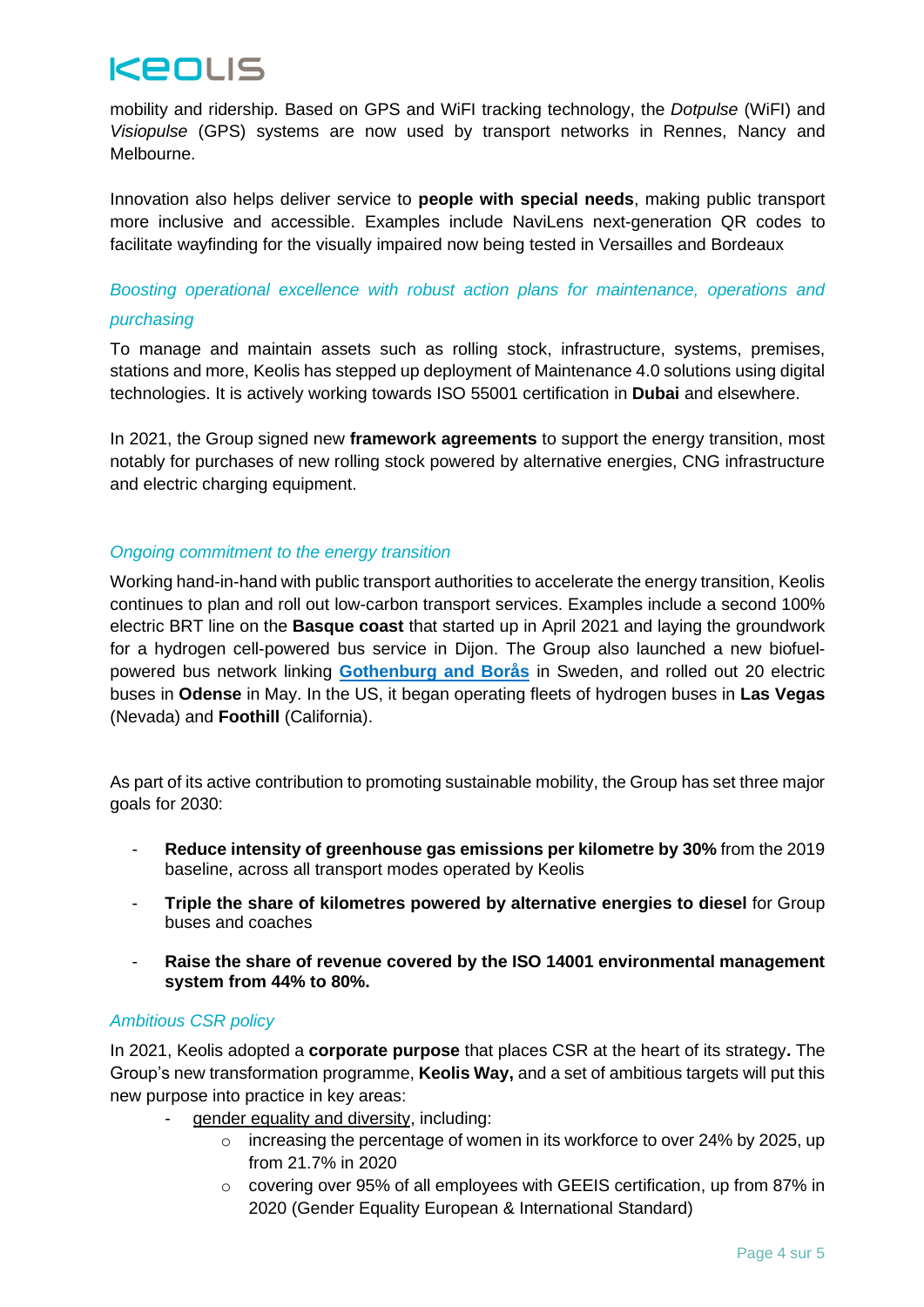## KEOLIS

mobility and ridership. Based on GPS and WiFI tracking technology, the *Dotpulse* (WiFI) and *Visiopulse* (GPS) systems are now used by transport networks in Rennes, Nancy and Melbourne.

Innovation also helps deliver service to **people with special needs**, making public transport more inclusive and accessible. Examples include NaviLens next-generation QR codes to facilitate wayfinding for the visually impaired now being tested in Versailles and Bordeaux

## *Boosting operational excellence with robust action plans for maintenance, operations and purchasing*

To manage and maintain assets such as rolling stock, infrastructure, systems, premises, stations and more, Keolis has stepped up deployment of Maintenance 4.0 solutions using digital technologies. It is actively working towards ISO 55001 certification in **Dubai** and elsewhere.

In 2021, the Group signed new **framework agreements** to support the energy transition, most notably for purchases of new rolling stock powered by alternative energies, CNG infrastructure and electric charging equipment.

## *Ongoing commitment to the energy transition*

Working hand-in-hand with public transport authorities to accelerate the energy transition, Keolis continues to plan and roll out low-carbon transport services. Examples include a second 100% electric BRT line on the **Basque coast** that started up in April 2021 and laying the groundwork for a hydrogen cell-powered bus service in Dijon. The Group also launched a new biofuelpowered bus network linking **[Gothenburg and Borås](https://www.keolis.com/en/newsroom-en/press-releases/keolis-begins-operating-alternative-energy-double-decker-buses-in-sweden)** in Sweden, and rolled out 20 electric buses in **Odense** in May. In the US, it began operating fleets of hydrogen buses in **Las Vegas** (Nevada) and **Foothill** (California).

As part of its active contribution to promoting sustainable mobility, the Group has set three major goals for 2030:

- **Reduce intensity of greenhouse gas emissions per kilometre by 30%** from the 2019 baseline, across all transport modes operated by Keolis
- **Triple the share of kilometres powered by alternative energies to diesel** for Group buses and coaches
- **Raise the share of revenue covered by the ISO 14001 environmental management system from 44% to 80%.**

### *Ambitious CSR policy*

In 2021, Keolis adopted a **corporate purpose** that places CSR at the heart of its strategy**.** The Group's new transformation programme, **Keolis Way,** and a set of ambitious targets will put this new purpose into practice in key areas:

- gender equality and diversity, including:
	- $\circ$  increasing the percentage of women in its workforce to over 24% by 2025, up from 21.7% in 2020
	- o covering over 95% of all employees with GEEIS certification, up from 87% in 2020 (Gender Equality European & International Standard)